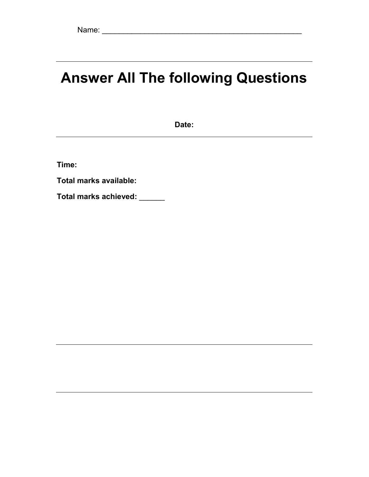# Answer All The following Questions

Date:

Time:

Total marks available:

Total marks achieved: \_\_\_\_\_\_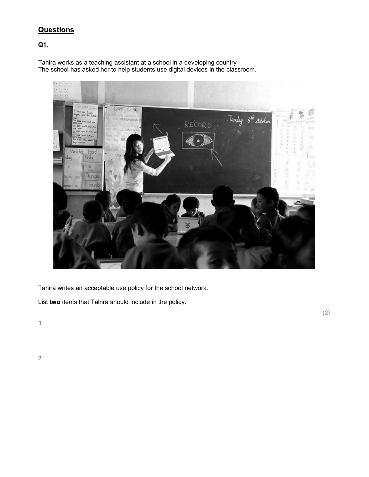# **Questions**

Q1.

Tahira works as a teaching assistant at a school in a developing country The school has asked her to help students use digital devices in the classroom.



Tahira writes an acceptable use policy for the school network.

List two items that Tahira should include in the policy.

 $\mathbf{1}$  $\cdots$  $\ddotsc$  $\overline{2}$  $1.1.1.1$ 

 $(2)$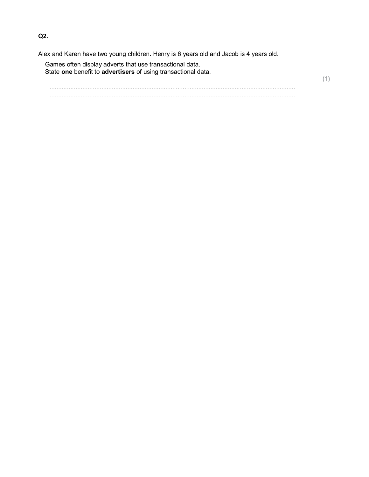Alex and Karen have two young children. Henry is 6 years old and Jacob is 4 years old.

Games often display adverts that use transactional data. State one benefit to advertisers of using transactional data.

 .............................................................................................................................................. ..............................................................................................................................................

(1)

Q2.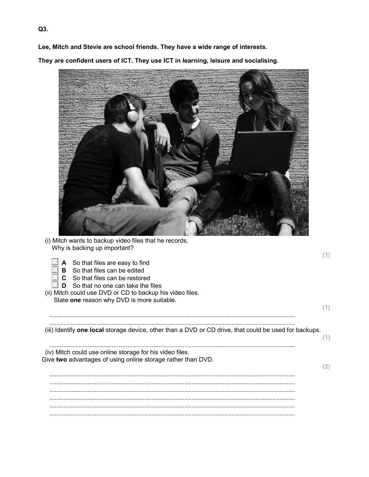Lee, Mitch and Stevie are school friends. They have a wide range of interests.

They are confident users of ICT. They use ICT in learning, leisure and socialising.



 $(1)$ 

 $(1)$ 

 $(1)$ 

 $(2)$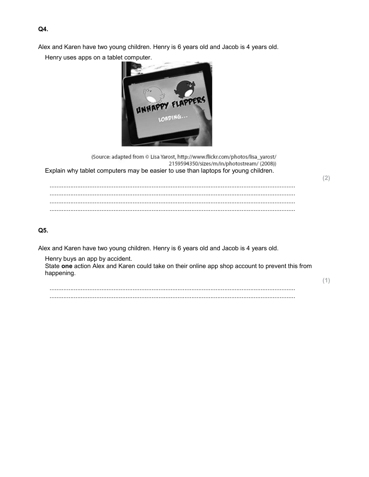Alex and Karen have two young children. Henry is 6 years old and Jacob is 4 years old.

Henry uses apps on a tablet computer.



(Source: adapted from @ Lisa Yarost, http://www.flickr.com/photos/lisa\_yarost/ 2159594350/sizes/m/in/photostream/ (2008)) Explain why tablet computers may be easier to use than laptops for young children.  $(2)$  $Q5.$ 

Alex and Karen have two young children. Henry is 6 years old and Jacob is 4 years old.

Henry buys an app by accident.

State one action Alex and Karen could take on their online app shop account to prevent this from happening.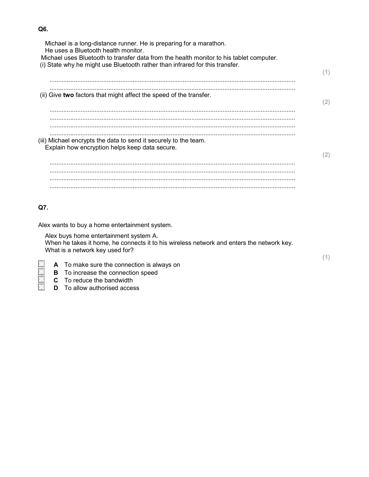| Michael is a long-distance runner. He is preparing for a marathon.                      |     |
|-----------------------------------------------------------------------------------------|-----|
| He uses a Bluetooth health monitor.                                                     |     |
| Michael uses Bluetooth to transfer data from the health monitor to his tablet computer. |     |
| (i) State why he might use Bluetooth rather than infrared for this transfer.            |     |
|                                                                                         | (1) |
|                                                                                         |     |
|                                                                                         |     |
| (ii) Give two factors that might affect the speed of the transfer.                      |     |
|                                                                                         | (2) |
|                                                                                         |     |
|                                                                                         |     |
|                                                                                         |     |
|                                                                                         |     |
|                                                                                         |     |
|                                                                                         |     |
| (iii) Michael encrypts the data to send it securely to the team.                        |     |
| Explain how encryption helps keep data secure.                                          |     |
|                                                                                         | (2) |
|                                                                                         |     |
|                                                                                         |     |
|                                                                                         |     |
|                                                                                         |     |
|                                                                                         |     |
|                                                                                         |     |
|                                                                                         |     |
| Q7.                                                                                     |     |
|                                                                                         |     |
|                                                                                         |     |
|                                                                                         |     |

Alex buys home entertainment system A. When he takes it home, he connects it to his wireless network and enters the network key. What is a network key used for?

- A To make sure the connection is always on
- $\overline{B}$  **B** To increase the connection speed<br>**C** To reduce the bandwidth
- $\Box$  C To reduce the bandwidth<br>  $\Box$  D To allow authorised acces
	- **D** To allow authorised access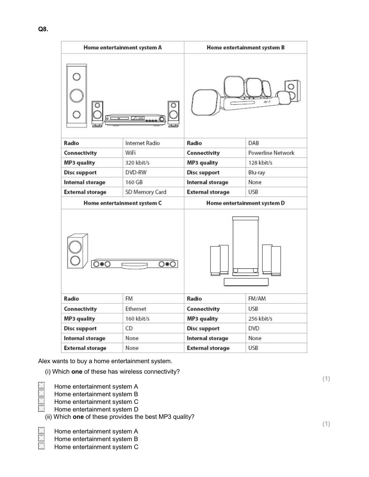| Home entertainment system A               |                            | Home entertainment system B |                             |  |
|-------------------------------------------|----------------------------|-----------------------------|-----------------------------|--|
|                                           |                            | si s                        |                             |  |
| Radio                                     | Internet Radio             | Radio                       | DAB                         |  |
| Connectivity                              | WiFi                       | Connectivity                | <b>Powerline Network</b>    |  |
| MP3 quality                               | 320 kbit/s                 | MP3 quality                 | 128 kbit/s                  |  |
| <b>Disc support</b>                       | DVD-RW                     | <b>Disc support</b>         | Blu-ray                     |  |
| Internal storage                          | Internal storage<br>160 GB |                             | None                        |  |
| <b>External storage</b><br>SD Memory Card |                            | <b>External storage</b>     | <b>USB</b>                  |  |
| Home entertainment system C               |                            |                             |                             |  |
|                                           |                            |                             | Home entertainment system D |  |
| ೧೧೯                                       | ೧⊛೧                        |                             |                             |  |
| Radio                                     | <b>FM</b>                  | Radio                       | FM/AM                       |  |
| Connectivity                              | Ethernet                   | Connectivity                | <b>USB</b>                  |  |
| <b>MP3 quality</b>                        | $160$ kbit/s               | MP3 quality                 | 256 kbit/s                  |  |
| <b>Disc support</b>                       | CD                         | <b>Disc support</b>         | <b>DVD</b>                  |  |
| Internal storage                          | None                       | Internal storage            | None                        |  |

Alex wants to buy a home entertainment system.

(i) Which one of these has wireless connectivity?

**Home entertainment system A**<br>Home entertainment system B

**Home entertainment system B**<br>Home entertainment system C

Home entertainment system C<br>Home entertainment system D

Home entertainment system D

(ii) Which one of these provides the best MP3 quality?

Home entertainment system A

Home entertainment system B

Home entertainment system C

(1)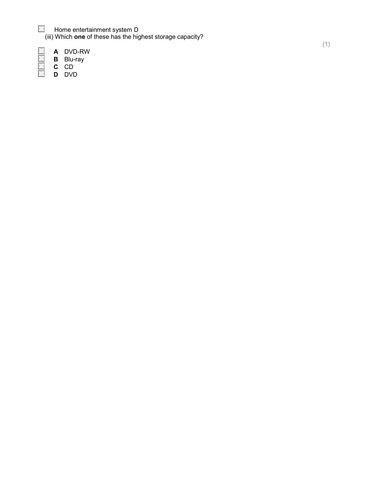Home entertainment system D (iii) Which one of these has the highest storage capacity?

A DVD-RW

**B** Blu-ray X

- C CD
- D DVD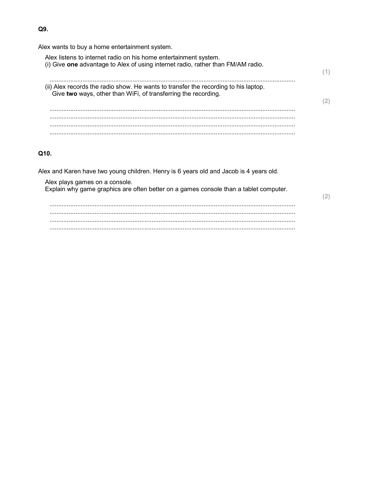Alex wants to buy a home entertainment system.

Alex listens to internet radio on his home entertainment system. (i) Give one advantage to Alex of using internet radio, rather than FM/AM radio.  $(1)$ (ii) Alex records the radio show. He wants to transfer the recording to his laptop. Give two ways, other than WiFi, of transferring the recording.  $(2)$ . . . . . . . 

## Q10.

Alex and Karen have two young children. Henry is 6 years old and Jacob is 4 years old.

Alex plays games on a console.

Explain why game graphics are often better on a games console than a tablet computer.

 $(2)$ 

#### Q9.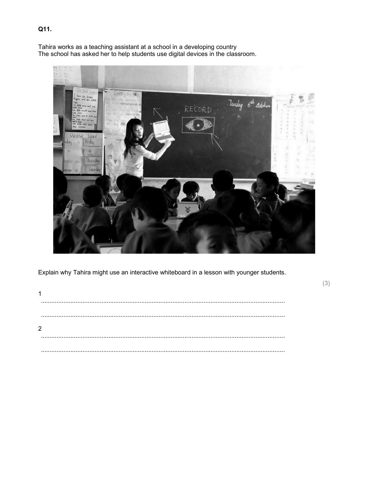Tahira works as a teaching assistant at a school in a developing country<br>The school has asked her to help students use digital devices in the classroom.



Explain why Tahira might use an interactive whiteboard in a lesson with younger students.

 $(3)$ 

| 2 |  |  |  |  |
|---|--|--|--|--|
|   |  |  |  |  |
|   |  |  |  |  |
|   |  |  |  |  |
|   |  |  |  |  |

# Q11.

 $\overline{A}$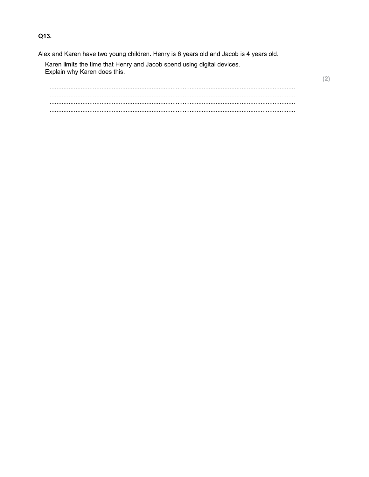Q13.

Alex and Karen have two young children. Henry is 6 years old and Jacob is 4 years old.

Karen limits the time that Henry and Jacob spend using digital devices. Explain why Karen does this.

  $(2)$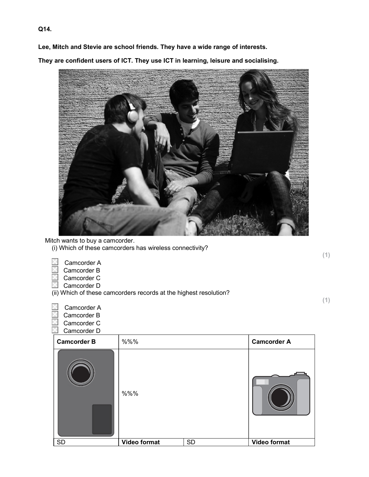Lee, Mitch and Stevie are school friends. They have a wide range of interests.

They are confident users of ICT. They use ICT in learning, leisure and socialising.



Mitch wants to buy a camcorder.

- (i) Which of these camcorders has wireless connectivity?
	- Camcorder A
- Camcorder B
- Camcorder C
- Camcorder D
- (ii) Which of these camcorders records at the highest resolution?

 Camcorder A Camcorder B Camcorder C

Camcorder D

| <b>Camcorder B</b> | %%%          |           | <b>Camcorder A</b> |
|--------------------|--------------|-----------|--------------------|
|                    | %%%          |           |                    |
| <b>SD</b>          | Video format | <b>SD</b> | Video format       |

Q14.

(1)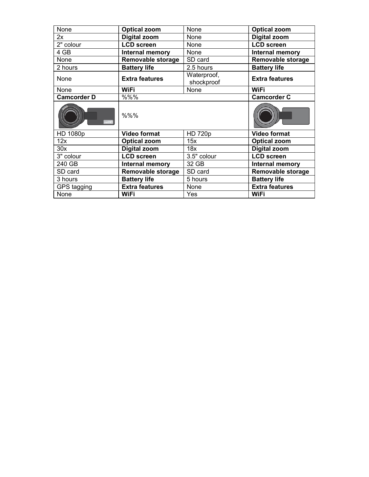| None               | <b>Optical zoom</b>    | None                      | <b>Optical zoom</b>   |
|--------------------|------------------------|---------------------------|-----------------------|
| 2x                 | <b>Digital zoom</b>    | None                      | Digital zoom          |
| 2" colour          | <b>LCD screen</b>      | None                      | <b>LCD screen</b>     |
| 4 GB               | <b>Internal memory</b> | None                      | Internal memory       |
| None               | Removable storage      | SD card                   | Removable storage     |
| 2 hours            | <b>Battery life</b>    | 2.5 hours                 | <b>Battery life</b>   |
| None               | <b>Extra features</b>  | Waterproof,<br>shockproof | <b>Extra features</b> |
| None               | <b>WiFi</b>            | None                      | <b>WiFi</b>           |
| <b>Camcorder D</b> | %%%                    |                           | <b>Camcorder C</b>    |
| FullHD             | %%%                    |                           |                       |
| HD 1080p           | <b>Video format</b>    | <b>HD 720p</b>            | <b>Video format</b>   |
| 12x                | <b>Optical zoom</b>    | 15x                       | <b>Optical zoom</b>   |
| 30x                | <b>Digital zoom</b>    | 18x                       | <b>Digital zoom</b>   |
| 3" colour          | <b>LCD screen</b>      | 3.5" colour               | <b>LCD</b> screen     |
| 240 GB             | Internal memory        | 32 GB                     | Internal memory       |
| SD card            | Removable storage      | SD card                   | Removable storage     |
| 3 hours            | <b>Battery life</b>    | 5 hours                   | <b>Battery life</b>   |
| GPS tagging        | <b>Extra features</b>  | None                      | <b>Extra features</b> |
| None               | <b>WiFi</b>            | Yes                       | <b>WiFi</b>           |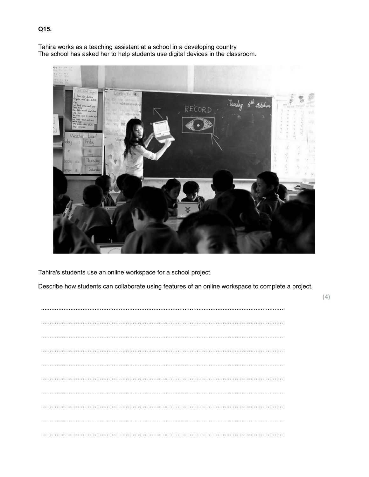Tahira works as a teaching assistant at a school in a developing country The school has asked her to help students use digital devices in the classroom.



Tahira's students use an online workspace for a school project.

Describe how students can collaborate using features of an online workspace to complete a project.

 $(4)$ 

## Q15.